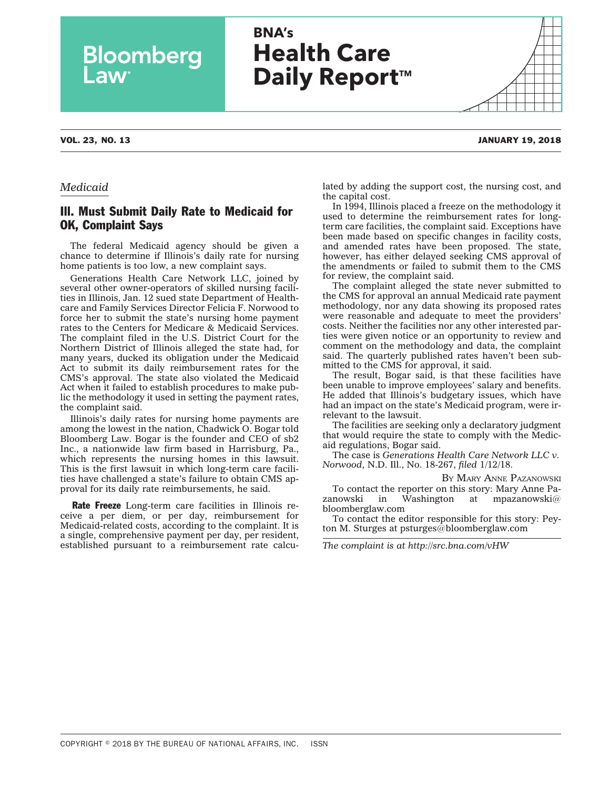| <b>BNA's</b>         |
|----------------------|
| <b>Health Care</b>   |
|                      |
| <b>Daily Report™</b> |

Bloomberg

## VOL. 23, NO. 13 JANUARY 19, 2018

## *Medicaid*

## Ill. Must Submit Daily Rate to Medicaid for OK, Complaint Says

The federal Medicaid agency should be given a chance to determine if Illinois's daily rate for nursing home patients is too low, a new complaint says.

Generations Health Care Network LLC, joined by several other owner-operators of skilled nursing facilities in Illinois, Jan. 12 sued state Department of Healthcare and Family Services Director Felicia F. Norwood to force her to submit the state's nursing home payment rates to the Centers for Medicare & Medicaid Services. The complaint filed in the U.S. District Court for the Northern District of Illinois alleged the state had, for many years, ducked its obligation under the Medicaid Act to submit its daily reimbursement rates for the CMS's approval. The state also violated the Medicaid Act when it failed to establish procedures to make public the methodology it used in setting the payment rates, the complaint said.

Illinois's daily rates for nursing home payments are among the lowest in the nation, Chadwick O. Bogar told Bloomberg Law. Bogar is the founder and CEO of sb2 Inc., a nationwide law firm based in Harrisburg, Pa., which represents the nursing homes in this lawsuit. This is the first lawsuit in which long-term care facilities have challenged a state's failure to obtain CMS approval for its daily rate reimbursements, he said.

Rate Freeze Long-term care facilities in Illinois receive a per diem, or per day, reimbursement for Medicaid-related costs, according to the complaint. It is a single, comprehensive payment per day, per resident, established pursuant to a reimbursement rate calcu-

lated by adding the support cost, the nursing cost, and the capital cost.

In 1994, Illinois placed a freeze on the methodology it used to determine the reimbursement rates for longterm care facilities, the complaint said. Exceptions have been made based on specific changes in facility costs, and amended rates have been proposed. The state, however, has either delayed seeking CMS approval of the amendments or failed to submit them to the CMS for review, the complaint said.

The complaint alleged the state never submitted to the CMS for approval an annual Medicaid rate payment methodology, nor any data showing its proposed rates were reasonable and adequate to meet the providers' costs. Neither the facilities nor any other interested parties were given notice or an opportunity to review and comment on the methodology and data, the complaint said. The quarterly published rates haven't been submitted to the CMS for approval, it said.

The result, Bogar said, is that these facilities have been unable to improve employees' salary and benefits. He added that Illinois's budgetary issues, which have had an impact on the state's Medicaid program, were irrelevant to the lawsuit.

The facilities are seeking only a declaratory judgment that would require the state to comply with the Medicaid regulations, Bogar said.

The case is *Generations Health Care Network LLC v. Norwood*, N.D. Ill., No. 18-267, *filed* 1/12/18.

BY MARY ANNE [PAZANOWSKI](mailto:mpazanowski@bloomberglaw.com) To contact the reporter on this story: Mary Anne Pazanowski in Washington at [mpazanowski@](mailto:mpazanowski@bloomberglaw.com) [bloomberglaw.com](mailto:mpazanowski@bloomberglaw.com)

To contact the editor responsible for this story: Peyton M. Sturges at [psturges@bloomberglaw.com](mailto:psturges@bloomberglaw.com)

*The complaint is at<http://src.bna.com/vHW>*